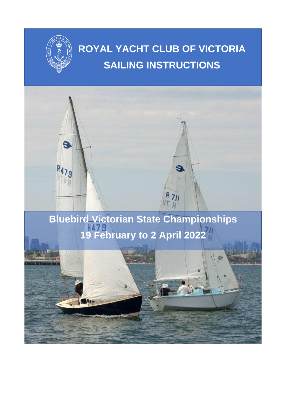# **ROYAL YACHT CLUB OF VICTORIA SAILING INSTRUCTIONS**



# **Bluebird Victorian State Championships 19 February to 2 April 2022**

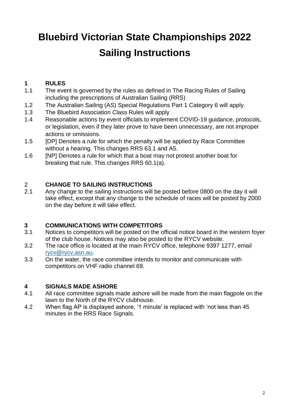# **Bluebird Victorian State Championships 2022 Sailing Instructions**

### **1 RULES**

- 1.1 The event is governed by the rules as defined in The Racing Rules of Sailing including the prescriptions of Australian Sailing (RRS)
- 1.2 The Australian Sailing (AS) Special Regulations Part 1 Category 6 will apply.
- 1.3 The Bluebird Association Class Rules will apply
- 1.4 Reasonable actions by event officials to implement COVID-19 guidance, protocols, or legislation, even if they later prove to have been unnecessary, are not improper actions or omissions.
- 1.5 [DP] Denotes a rule for which the penalty will be applied by Race Committee without a hearing. This changes RRS 63.1 and A5.
- 1.6 [NP] Denotes a rule for which that a boat may not protest another boat for breaking that rule. This changes RRS 60.1(a).

## 2 **CHANGE TO SAILING INSTRUCTIONS**<br>2.1 Any change to the sailing instructions will

Any change to the sailing instructions will be posted before 0800 on the day it will take effect, except that any change to the schedule of races will be posted by 2000 on the day before it will take effect.

### **3 COMMUNICATIONS WITH COMPETITORS**<br>3.1 Motices to competitors will be posted on the o

- Notices to competitors will be posted on the official notice board in the western foyer of the club house. Notices may also be posted to the RYCV website.
- 3.2 The race office is located at the main RYCV office, telephone 9397 1277, email [rycv@rycv.asn.au.](mailto:rycv@rycv.asn.au)
- 3.3 On the water, the race committee intends to monitor and communicate with competitors on VHF radio channel 69.

### **4 SIGNALS MADE ASHORE**

- All race committee signals made ashore will be made from the main flagpole on the lawn to the North of the RYCV clubhouse.
- 4.2 When flag AP is displayed ashore, '1 minute' is replaced with 'not less than 45 minutes in the RRS Race Signals.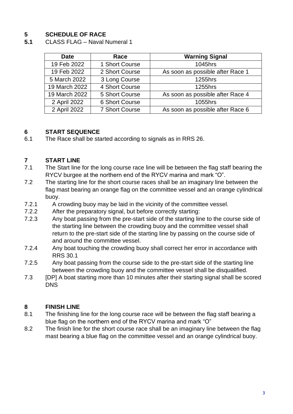# **5 SCHEDULE OF RACE**<br>**5.1 CLASS FLAG – Naval N**

**5.1** CLASS FLAG – Naval Numeral 1

| <b>Date</b>   | Race                  | <b>Warning Signal</b>            |
|---------------|-----------------------|----------------------------------|
| 19 Feb 2022   | 1 Short Course        | 1045hrs                          |
| 19 Feb 2022   | 2 Short Course        | As soon as possible after Race 1 |
| 5 March 2022  | 3 Long Course         | 1255hrs                          |
| 19 March 2022 | 4 Short Course        | 1255hrs                          |
| 19 March 2022 | 5 Short Course        | As soon as possible after Race 4 |
| 2 April 2022  | <b>6 Short Course</b> | 1055hrs                          |
| 2 April 2022  | <b>7 Short Course</b> | As soon as possible after Race 6 |

### **6 START SEQUENCE**

The Race shall be started according to signals as in RRS 26.

### **7 START LINE**

- 7.1 The Start line for the long course race line will be between the flag staff bearing the RYCV burgee at the northern end of the RYCV marina and mark "O".
- 7.2 The starting line for the short course races shall be an imaginary line between the flag mast bearing an orange flag on the committee vessel and an orange cylindrical buoy.
- 7.2.1 A crowding buoy may be laid in the vicinity of the committee vessel.
- 7.2.2 After the preparatory signal, but before correctly starting:
- 7.2.3 Any boat passing from the pre-start side of the starting line to the course side of the starting line between the crowding buoy and the committee vessel shall return to the pre-start side of the starting line by passing on the course side of and around the committee vessel.
- 7.2.4 Any boat touching the crowding buoy shall correct her error in accordance with RRS 30.1
- 7.2.5 Any boat passing from the course side to the pre-start side of the starting line between the crowding buoy and the committee vessel shall be disqualified.
- 7.3 [DP] A boat starting more than 10 minutes after their starting signal shall be scored **DNS**

### **8 FINISH LINE**

- 8.1 The finishing line for the long course race will be between the flag staff bearing a blue flag on the northern end of the RYCV marina and mark "O"
- 8.2 The finish line for the short course race shall be an imaginary line between the flag mast bearing a blue flag on the committee vessel and an orange cylindrical buoy.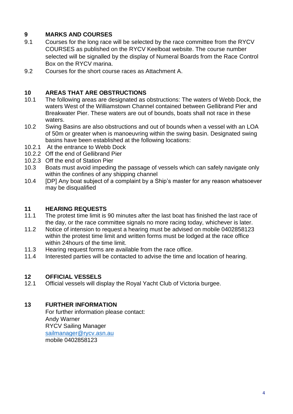### **9 MARKS AND COURSES**

- 9.1 Courses for the long race will be selected by the race committee from the RYCV COURSES as published on the RYCV Keelboat website. The course number selected will be signalled by the display of Numeral Boards from the Race Control Box on the RYCV marina.
- 9.2 Courses for the short course races as Attachment A.

### **10 AREAS THAT ARE OBSTRUCTIONS**

- 10.1 The following areas are designated as obstructions: The waters of Webb Dock, the waters West of the Williamstown Channel contained between Gellibrand Pier and Breakwater Pier. These waters are out of bounds, boats shall not race in these waters.
- 10.2 Swing Basins are also obstructions and out of bounds when a vessel with an LOA of 50m or greater when is manoeuvring within the swing basin. Designated swing basins have been established at the following locations:
- 10.2.1 At the entrance to Webb Dock
- 10.2.2 Off the end of Gellibrand Pier
- 10.2.3 Off the end of Station Pier
- 10.3 Boats must avoid impeding the passage of vessels which can safely navigate only within the confines of any shipping channel
- 10.4 [DP] Any boat subject of a complaint by a Ship's master for any reason whatsoever may be disqualified

#### **11 HEARING REQUESTS**

- 11.1 The protest time limit is 90 minutes after the last boat has finished the last race of the day, or the race committee signals no more racing today, whichever is later.
- 11.2 Notice of intension to request a hearing must be advised on mobile 0402858123 within the protest time limit and written forms must be lodged at the race office within 24hours of the time limit.
- 11.3 Hearing request forms are available from the race office.<br>11.4 Interested parties will be contacted to advise the time and
- Interested parties will be contacted to advise the time and location of hearing.

#### **12 OFFICIAL VESSELS**

12.1 Official vessels will display the Royal Yacht Club of Victoria burgee.

#### **13 FURTHER INFORMATION**

For further information please contact: Andy Warner RYCV Sailing Manager [sailmanager@rycv.asn.au](mailto:sailmanager@rycv.asn.au) mobile 0402858123